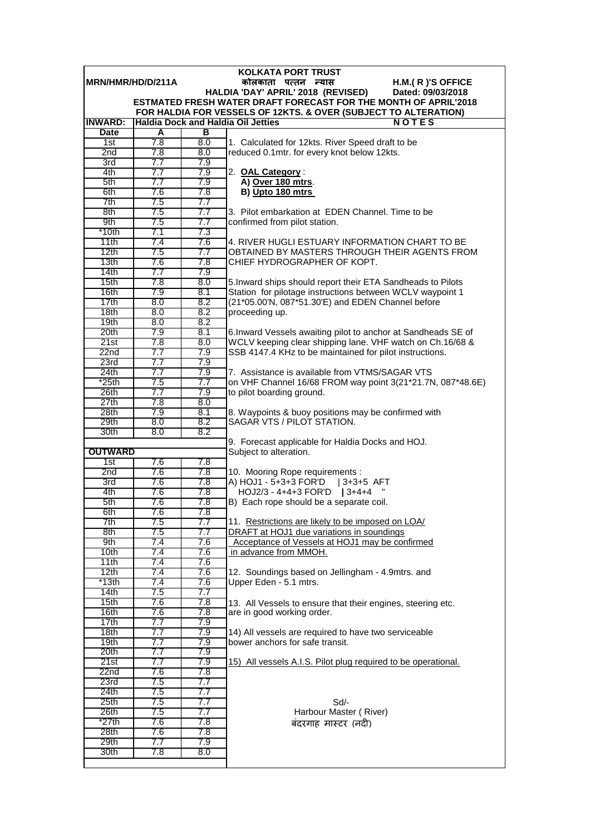|                                                              |            |            | KOLKATA PORT TRUST                                                                                                           |  |  |  |
|--------------------------------------------------------------|------------|------------|------------------------------------------------------------------------------------------------------------------------------|--|--|--|
| MRN/HMR/HD/D/211A<br>कोलकाता पत्तन न्यास<br>H.M.(R)'S OFFICE |            |            |                                                                                                                              |  |  |  |
|                                                              |            |            | HALDIA 'DAY' APRIL' 2018 (REVISED)<br>Dated: 09/03/2018                                                                      |  |  |  |
|                                                              |            |            | ESTMATED FRESH WATER DRAFT FORECAST FOR THE MONTH OF APRIL'2018                                                              |  |  |  |
| <b>INWARD:</b>                                               |            |            | FOR HALDIA FOR VESSELS OF 12KTS. & OVER (SUBJECT TO ALTERATION)<br><b>Haldia Dock and Haldia Oil Jetties</b><br><b>NOTES</b> |  |  |  |
| <b>Date</b>                                                  | A          | в          |                                                                                                                              |  |  |  |
| 1st                                                          | 7.8        | 8.0        | 1. Calculated for 12kts. River Speed draft to be                                                                             |  |  |  |
| 2 <sub>nd</sub>                                              | 7.8        | 8.0        | reduced 0.1mtr. for every knot below 12kts.                                                                                  |  |  |  |
| 3rd                                                          | 7.7        | 7.9        |                                                                                                                              |  |  |  |
| 4th                                                          | 7.7        | 7.9        | 2. OAL Category:                                                                                                             |  |  |  |
| 5th                                                          | 7.7        | 7.9        | A) Over 180 mtrs.                                                                                                            |  |  |  |
| 6th                                                          | 7.6        | 7.8        | B) Upto 180 mtrs                                                                                                             |  |  |  |
| 7th                                                          | 7.5        | 7.7        |                                                                                                                              |  |  |  |
| 8th                                                          | 7.5        | 7.7        | 3. Pilot embarkation at EDEN Channel. Time to be                                                                             |  |  |  |
| 9th                                                          | 7.5        | 7.7        | confirmed from pilot station.                                                                                                |  |  |  |
| $*10th$                                                      | 7.1        | 7.3        |                                                                                                                              |  |  |  |
| 11th                                                         | 7.4        | 7.6        | 4. RIVER HUGLI ESTUARY INFORMATION CHART TO BE                                                                               |  |  |  |
| 12th                                                         | 7.5        | 7.7        | OBTAINED BY MASTERS THROUGH THEIR AGENTS FROM                                                                                |  |  |  |
| 13 <sub>th</sub>                                             | 7.6        | 7.8        | CHIEF HYDROGRAPHER OF KOPT.                                                                                                  |  |  |  |
| 14th<br>15th                                                 | 7.7<br>7.8 | 7.9<br>8.0 |                                                                                                                              |  |  |  |
| 16th                                                         | 7.9        | 8.1        | 5. Inward ships should report their ETA Sandheads to Pilots<br>Station for pilotage instructions between WCLV waypoint 1     |  |  |  |
| 17th                                                         | 8.0        | 8.2        | (21*05.00'N, 087*51.30'E) and EDEN Channel before                                                                            |  |  |  |
| 18 <sub>th</sub>                                             | 8.0        | 8.2        | proceeding up.                                                                                                               |  |  |  |
| 19th                                                         | 8.0        | 8.2        |                                                                                                                              |  |  |  |
| 20th                                                         | 7.9        | 8.1        | 6. Inward Vessels awaiting pilot to anchor at Sandheads SE of                                                                |  |  |  |
| 21st                                                         | 7.8        | 8.0        | WCLV keeping clear shipping lane. VHF watch on Ch.16/68 &                                                                    |  |  |  |
| 22nd                                                         | 7.7        | 7.9        | SSB 4147.4 KHz to be maintained for pilot instructions.                                                                      |  |  |  |
| 23rd                                                         | 7.7        | 7.9        |                                                                                                                              |  |  |  |
| 24th                                                         | 7.7        | 7.9        | 7. Assistance is available from VTMS/SAGAR VTS                                                                               |  |  |  |
| *25th                                                        | 7.5        | 7.7        | on VHF Channel 16/68 FROM way point 3(21*21.7N, 087*48.6E)                                                                   |  |  |  |
| 26th                                                         | 7.7        | 7.9        | to pilot boarding ground.                                                                                                    |  |  |  |
| 27th                                                         | 7.8        | 8.0        |                                                                                                                              |  |  |  |
| 28th                                                         | 7.9        | 8.1<br>8.2 | 8. Waypoints & buoy positions may be confirmed with<br>SAGAR VTS / PILOT STATION.                                            |  |  |  |
| 29th<br>30th                                                 | 8.0<br>8.0 | 8.2        |                                                                                                                              |  |  |  |
|                                                              |            |            | 9. Forecast applicable for Haldia Docks and HOJ.                                                                             |  |  |  |
| <b>OUTWARD</b>                                               |            |            | Subject to alteration.                                                                                                       |  |  |  |
| 1st                                                          | 7.6        | 7.8        |                                                                                                                              |  |  |  |
| 2 <sub>nd</sub>                                              | 7.6        | 7.8        | 10. Mooring Rope requirements :                                                                                              |  |  |  |
| 3rd                                                          | 7.6        | 7.8        | A) HOJ1 - 5+3+3 FOR'D   3+3+5 AFT                                                                                            |  |  |  |
| 4th                                                          | 7.6        | 7.8        | HOJ2/3 - 4+4+3 FOR'D   3+4+4                                                                                                 |  |  |  |
| 5th                                                          | 7.6        | 7.8        | B) Each rope should be a separate coil.                                                                                      |  |  |  |
| 6th                                                          | 7.6        | 7.8        |                                                                                                                              |  |  |  |
| 7th                                                          | 7.5        | 7.7        | 11. Restrictions are likely to be imposed on LOA/                                                                            |  |  |  |
| 8th<br>9th                                                   | 7.5<br>7.4 | 7.7        | DRAFT at HOJ1 due variations in soundings                                                                                    |  |  |  |
| 10th                                                         | 7.4        | 7.6<br>7.6 | Acceptance of Vessels at HOJ1 may be confirmed<br>in advance from MMOH.                                                      |  |  |  |
| 11th                                                         | 7.4        | 7.6        |                                                                                                                              |  |  |  |
| 12th                                                         | 7.4        | 7.6        | 12. Soundings based on Jellingham - 4.9mtrs. and                                                                             |  |  |  |
| *13th                                                        | 7.4        | 7.6        | Upper Eden - 5.1 mtrs.                                                                                                       |  |  |  |
| 14th                                                         | 7.5        | 7.7        |                                                                                                                              |  |  |  |
| 15th                                                         | 7.6        | 7.8        | 13. All Vessels to ensure that their engines, steering etc.                                                                  |  |  |  |
| 16th                                                         | 7.6        | 7.8        | are in good working order.                                                                                                   |  |  |  |
| 17th                                                         | 7.7        | 7.9        |                                                                                                                              |  |  |  |
| 18 <sub>th</sub>                                             | 7.7        | 7.9        | 14) All vessels are required to have two serviceable                                                                         |  |  |  |
| 19th                                                         | 7.7        | 7.9        | bower anchors for safe transit.                                                                                              |  |  |  |
| 20th                                                         | 7.7        | 7.9        |                                                                                                                              |  |  |  |
| 21st<br>22nd                                                 | 7.7<br>7.6 | 7.9<br>7.8 | 15) All vessels A.I.S. Pilot plug required to be operational.                                                                |  |  |  |
| 23rd                                                         | 7.5        | 7.7        |                                                                                                                              |  |  |  |
| 24th                                                         | 7.5        | 7.7        |                                                                                                                              |  |  |  |
| 25 <sub>th</sub>                                             | 7.5        | 7.7        | Sd/-                                                                                                                         |  |  |  |
| 26th                                                         | 7.5        | 7.7        | Harbour Master (River)                                                                                                       |  |  |  |
| *27th                                                        | 7.6        | 7.8        | बंदरगाह मास्टर (नदी)                                                                                                         |  |  |  |
| 28th                                                         | 7.6        | 7.8        |                                                                                                                              |  |  |  |
| 29th                                                         | 7.7        | 7.9        |                                                                                                                              |  |  |  |
| 30th                                                         | 7.8        | 8.0        |                                                                                                                              |  |  |  |
|                                                              |            |            |                                                                                                                              |  |  |  |